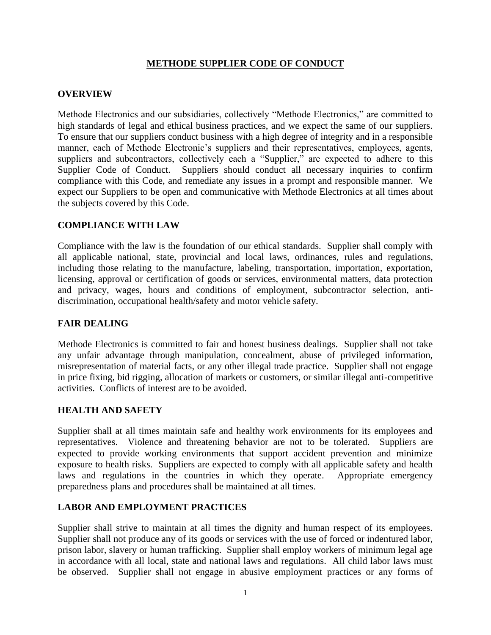# **METHODE SUPPLIER CODE OF CONDUCT**

# **OVERVIEW**

Methode Electronics and our subsidiaries, collectively "Methode Electronics," are committed to high standards of legal and ethical business practices, and we expect the same of our suppliers. To ensure that our suppliers conduct business with a high degree of integrity and in a responsible manner, each of Methode Electronic's suppliers and their representatives, employees, agents, suppliers and subcontractors, collectively each a "Supplier," are expected to adhere to this Supplier Code of Conduct. Suppliers should conduct all necessary inquiries to confirm compliance with this Code, and remediate any issues in a prompt and responsible manner. We expect our Suppliers to be open and communicative with Methode Electronics at all times about the subjects covered by this Code.

### **COMPLIANCE WITH LAW**

Compliance with the law is the foundation of our ethical standards. Supplier shall comply with all applicable national, state, provincial and local laws, ordinances, rules and regulations, including those relating to the manufacture, labeling, transportation, importation, exportation, licensing, approval or certification of goods or services, environmental matters, data protection and privacy, wages, hours and conditions of employment, subcontractor selection, antidiscrimination, occupational health/safety and motor vehicle safety.

### **FAIR DEALING**

Methode Electronics is committed to fair and honest business dealings. Supplier shall not take any unfair advantage through manipulation, concealment, abuse of privileged information, misrepresentation of material facts, or any other illegal trade practice. Supplier shall not engage in price fixing, bid rigging, allocation of markets or customers, or similar illegal anti-competitive activities. Conflicts of interest are to be avoided.

### **HEALTH AND SAFETY**

Supplier shall at all times maintain safe and healthy work environments for its employees and representatives. Violence and threatening behavior are not to be tolerated. Suppliers are expected to provide working environments that support accident prevention and minimize exposure to health risks. Suppliers are expected to comply with all applicable safety and health laws and regulations in the countries in which they operate. Appropriate emergency preparedness plans and procedures shall be maintained at all times.

# **LABOR AND EMPLOYMENT PRACTICES**

Supplier shall strive to maintain at all times the dignity and human respect of its employees. Supplier shall not produce any of its goods or services with the use of forced or indentured labor, prison labor, slavery or human trafficking. Supplier shall employ workers of minimum legal age in accordance with all local, state and national laws and regulations. All child labor laws must be observed. Supplier shall not engage in abusive employment practices or any forms of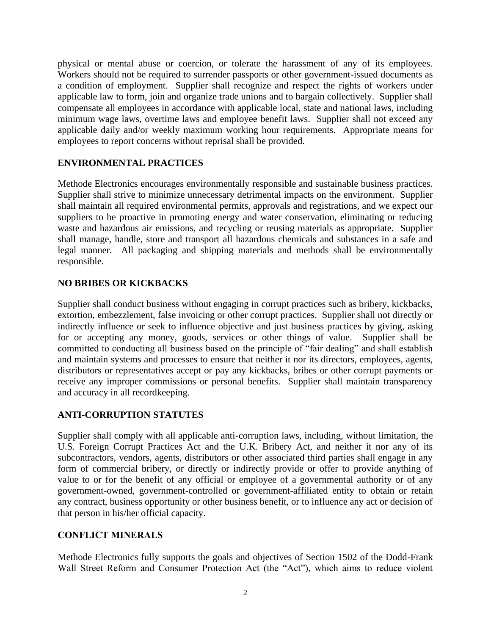physical or mental abuse or coercion, or tolerate the harassment of any of its employees. Workers should not be required to surrender passports or other government-issued documents as a condition of employment. Supplier shall recognize and respect the rights of workers under applicable law to form, join and organize trade unions and to bargain collectively. Supplier shall compensate all employees in accordance with applicable local, state and national laws, including minimum wage laws, overtime laws and employee benefit laws. Supplier shall not exceed any applicable daily and/or weekly maximum working hour requirements. Appropriate means for employees to report concerns without reprisal shall be provided.

# **ENVIRONMENTAL PRACTICES**

Methode Electronics encourages environmentally responsible and sustainable business practices. Supplier shall strive to minimize unnecessary detrimental impacts on the environment. Supplier shall maintain all required environmental permits, approvals and registrations, and we expect our suppliers to be proactive in promoting energy and water conservation, eliminating or reducing waste and hazardous air emissions, and recycling or reusing materials as appropriate. Supplier shall manage, handle, store and transport all hazardous chemicals and substances in a safe and legal manner. All packaging and shipping materials and methods shall be environmentally responsible.

# **NO BRIBES OR KICKBACKS**

Supplier shall conduct business without engaging in corrupt practices such as bribery, kickbacks, extortion, embezzlement, false invoicing or other corrupt practices. Supplier shall not directly or indirectly influence or seek to influence objective and just business practices by giving, asking for or accepting any money, goods, services or other things of value. Supplier shall be committed to conducting all business based on the principle of "fair dealing" and shall establish and maintain systems and processes to ensure that neither it nor its directors, employees, agents, distributors or representatives accept or pay any kickbacks, bribes or other corrupt payments or receive any improper commissions or personal benefits. Supplier shall maintain transparency and accuracy in all recordkeeping.

# **ANTI-CORRUPTION STATUTES**

Supplier shall comply with all applicable anti-corruption laws, including, without limitation, the U.S. Foreign Corrupt Practices Act and the U.K. Bribery Act, and neither it nor any of its subcontractors, vendors, agents, distributors or other associated third parties shall engage in any form of commercial bribery, or directly or indirectly provide or offer to provide anything of value to or for the benefit of any official or employee of a governmental authority or of any government-owned, government-controlled or government-affiliated entity to obtain or retain any contract, business opportunity or other business benefit, or to influence any act or decision of that person in his/her official capacity.

# **CONFLICT MINERALS**

Methode Electronics fully supports the goals and objectives of Section 1502 of the Dodd-Frank Wall Street Reform and Consumer Protection Act (the "Act"), which aims to reduce violent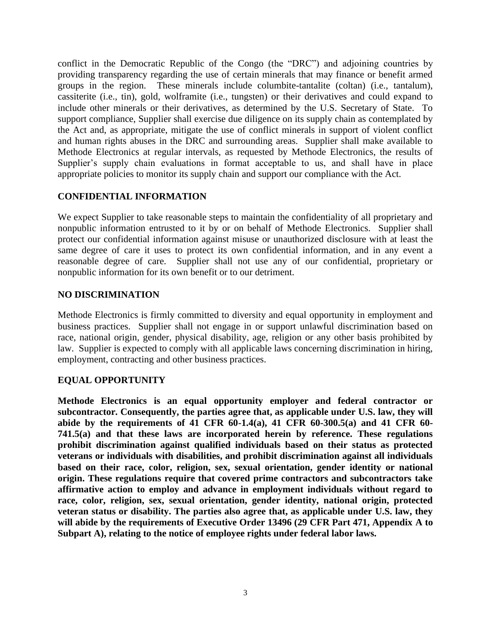conflict in the Democratic Republic of the Congo (the "DRC") and adjoining countries by providing transparency regarding the use of certain minerals that may finance or benefit armed groups in the region. These minerals include columbite-tantalite (coltan) (i.e., tantalum), cassiterite (i.e., tin), gold, wolframite (i.e., tungsten) or their derivatives and could expand to include other minerals or their derivatives, as determined by the U.S. Secretary of State. To support compliance, Supplier shall exercise due diligence on its supply chain as contemplated by the Act and, as appropriate, mitigate the use of conflict minerals in support of violent conflict and human rights abuses in the DRC and surrounding areas. Supplier shall make available to Methode Electronics at regular intervals, as requested by Methode Electronics, the results of Supplier's supply chain evaluations in format acceptable to us, and shall have in place appropriate policies to monitor its supply chain and support our compliance with the Act.

# **CONFIDENTIAL INFORMATION**

We expect Supplier to take reasonable steps to maintain the confidentiality of all proprietary and nonpublic information entrusted to it by or on behalf of Methode Electronics. Supplier shall protect our confidential information against misuse or unauthorized disclosure with at least the same degree of care it uses to protect its own confidential information, and in any event a reasonable degree of care. Supplier shall not use any of our confidential, proprietary or nonpublic information for its own benefit or to our detriment.

### **NO DISCRIMINATION**

Methode Electronics is firmly committed to diversity and equal opportunity in employment and business practices. Supplier shall not engage in or support unlawful discrimination based on race, national origin, gender, physical disability, age, religion or any other basis prohibited by law. Supplier is expected to comply with all applicable laws concerning discrimination in hiring, employment, contracting and other business practices.

### **EQUAL OPPORTUNITY**

**Methode Electronics is an equal opportunity employer and federal contractor or subcontractor. Consequently, the parties agree that, as applicable under U.S. law, they will abide by the requirements of 41 CFR 60-1.4(a), 41 CFR 60-300.5(a) and 41 CFR 60- 741.5(a) and that these laws are incorporated herein by reference. These regulations prohibit discrimination against qualified individuals based on their status as protected veterans or individuals with disabilities, and prohibit discrimination against all individuals based on their race, color, religion, sex, sexual orientation, gender identity or national origin. These regulations require that covered prime contractors and subcontractors take affirmative action to employ and advance in employment individuals without regard to race, color, religion, sex, sexual orientation, gender identity, national origin, protected veteran status or disability. The parties also agree that, as applicable under U.S. law, they will abide by the requirements of Executive Order 13496 (29 CFR Part 471, Appendix A to Subpart A), relating to the notice of employee rights under federal labor laws.**